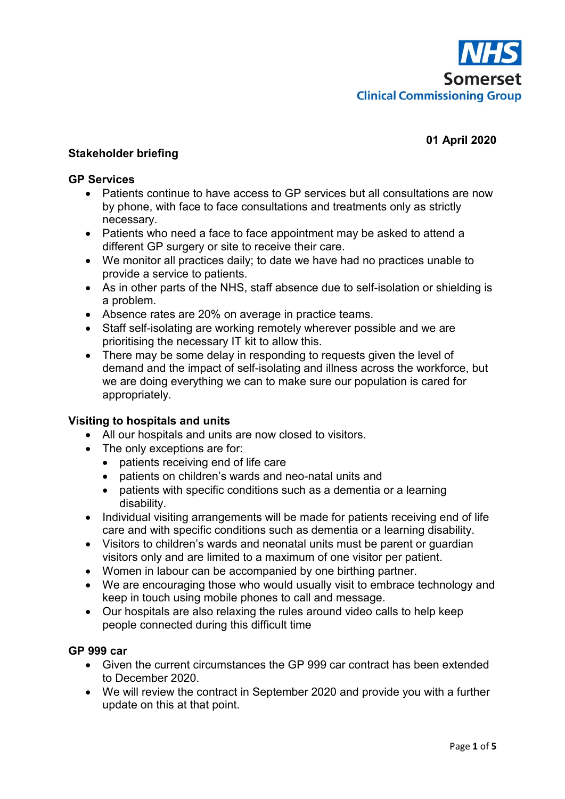

# **01 April 2020**

### **Stakeholder briefing**

#### **GP Services**

- Patients continue to have access to GP services but all consultations are now by phone, with face to face consultations and treatments only as strictly necessary.
- Patients who need a face to face appointment may be asked to attend a different GP surgery or site to receive their care.
- We monitor all practices daily; to date we have had no practices unable to provide a service to patients.
- As in other parts of the NHS, staff absence due to self-isolation or shielding is a problem.
- Absence rates are 20% on average in practice teams.
- Staff self-isolating are working remotely wherever possible and we are prioritising the necessary IT kit to allow this.
- There may be some delay in responding to requests given the level of demand and the impact of self-isolating and illness across the workforce, but we are doing everything we can to make sure our population is cared for appropriately.

#### **Visiting to hospitals and units**

- All our hospitals and units are now closed to visitors.
- The only exceptions are for:
	- patients receiving end of life care
	- patients on children's wards and neo-natal units and
	- patients with specific conditions such as a dementia or a learning disability.
- Individual visiting arrangements will be made for patients receiving end of life care and with specific conditions such as dementia or a learning disability.
- Visitors to children's wards and neonatal units must be parent or guardian visitors only and are limited to a maximum of one visitor per patient.
- Women in labour can be accompanied by one birthing partner.
- We are encouraging those who would usually visit to embrace technology and keep in touch using mobile phones to call and message.
- Our hospitals are also relaxing the rules around video calls to help keep people connected during this difficult time

## **GP 999 car**

- Given the current circumstances the GP 999 car contract has been extended to December 2020.
- We will review the contract in September 2020 and provide you with a further update on this at that point.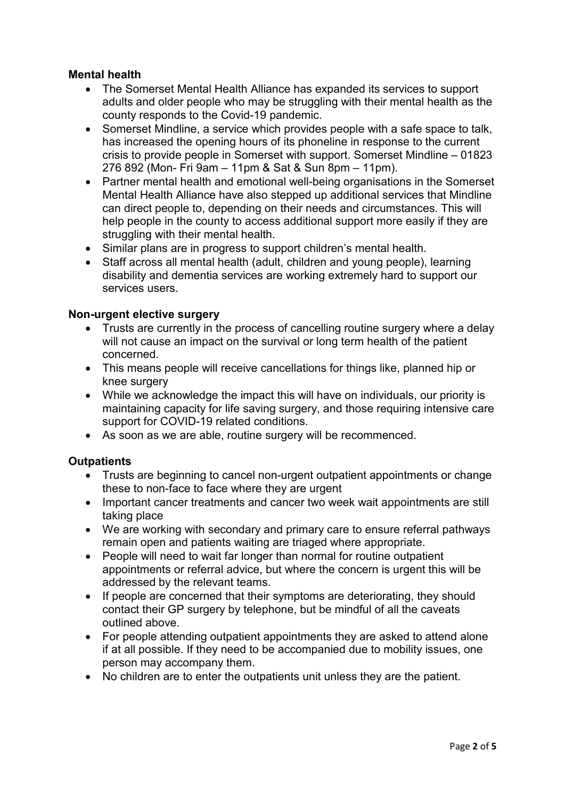# **Mental health**

- The Somerset Mental Health Alliance has expanded its services to support adults and older people who may be struggling with their mental health as the county responds to the Covid-19 pandemic.
- Somerset Mindline, a service which provides people with a safe space to talk, has increased the opening hours of its phoneline in response to the current crisis to provide people in Somerset with support. Somerset Mindline – 01823 276 892 (Mon- Fri 9am – 11pm & Sat & Sun 8pm – 11pm).
- Partner mental health and emotional well-being organisations in the Somerset Mental Health Alliance have also stepped up additional services that Mindline can direct people to, depending on their needs and circumstances. This will help people in the county to access additional support more easily if they are struggling with their mental health.
- Similar plans are in progress to support children's mental health.
- Staff across all mental health (adult, children and young people), learning disability and dementia services are working extremely hard to support our services users.

#### **Non-urgent elective surgery**

- Trusts are currently in the process of cancelling routine surgery where a delay will not cause an impact on the survival or long term health of the patient concerned.
- This means people will receive cancellations for things like, planned hip or knee surgery
- While we acknowledge the impact this will have on individuals, our priority is maintaining capacity for life saving surgery, and those requiring intensive care support for COVID-19 related conditions.
- As soon as we are able, routine surgery will be recommenced.

## **Outpatients**

- Trusts are beginning to cancel non-urgent outpatient appointments or change these to non-face to face where they are urgent
- Important cancer treatments and cancer two week wait appointments are still taking place
- We are working with secondary and primary care to ensure referral pathways remain open and patients waiting are triaged where appropriate.
- People will need to wait far longer than normal for routine outpatient appointments or referral advice, but where the concern is urgent this will be addressed by the relevant teams.
- If people are concerned that their symptoms are deteriorating, they should contact their GP surgery by telephone, but be mindful of all the caveats outlined above.
- For people attending outpatient appointments they are asked to attend alone if at all possible. If they need to be accompanied due to mobility issues, one person may accompany them.
- No children are to enter the outpatients unit unless they are the patient.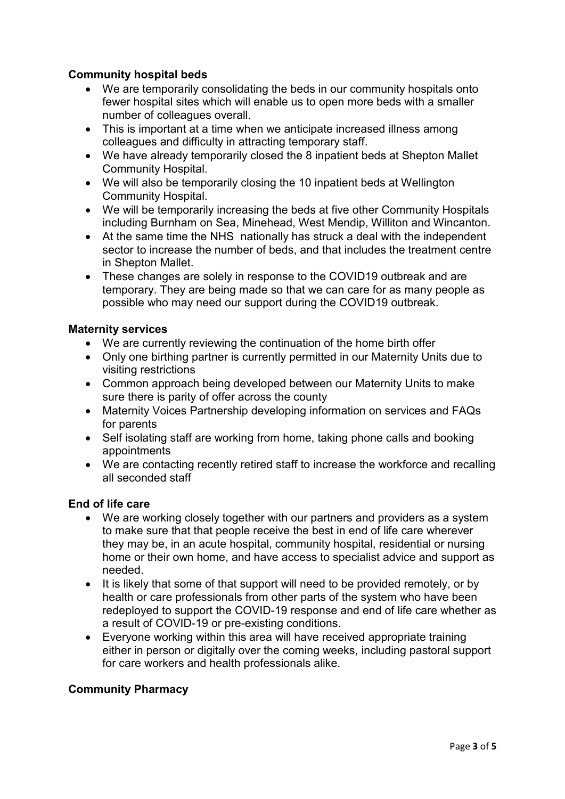# **Community hospital beds**

- We are temporarily consolidating the beds in our community hospitals onto fewer hospital sites which will enable us to open more beds with a smaller number of colleagues overall.
- This is important at a time when we anticipate increased illness among colleagues and difficulty in attracting temporary staff.
- We have already temporarily closed the 8 inpatient beds at Shepton Mallet Community Hospital.
- We will also be temporarily closing the 10 inpatient beds at Wellington Community Hospital.
- We will be temporarily increasing the beds at five other Community Hospitals including Burnham on Sea, Minehead, West Mendip, Williton and Wincanton.
- At the same time the NHS nationally has struck a deal with the independent sector to increase the number of beds, and that includes the treatment centre in Shepton Mallet.
- These changes are solely in response to the COVID19 outbreak and are temporary. They are being made so that we can care for as many people as possible who may need our support during the COVID19 outbreak.

## **Maternity services**

- We are currently reviewing the continuation of the home birth offer
- Only one birthing partner is currently permitted in our Maternity Units due to visiting restrictions
- Common approach being developed between our Maternity Units to make sure there is parity of offer across the county
- Maternity Voices Partnership developing information on services and FAQs for parents
- Self isolating staff are working from home, taking phone calls and booking appointments
- We are contacting recently retired staff to increase the workforce and recalling all seconded staff

## **End of life care**

- We are working closely together with our partners and providers as a system to make sure that that people receive the best in end of life care wherever they may be, in an acute hospital, community hospital, residential or nursing home or their own home, and have access to specialist advice and support as needed.
- It is likely that some of that support will need to be provided remotely, or by health or care professionals from other parts of the system who have been redeployed to support the COVID-19 response and end of life care whether as a result of COVID-19 or pre-existing conditions.
- Everyone working within this area will have received appropriate training either in person or digitally over the coming weeks, including pastoral support for care workers and health professionals alike.

# **Community Pharmacy**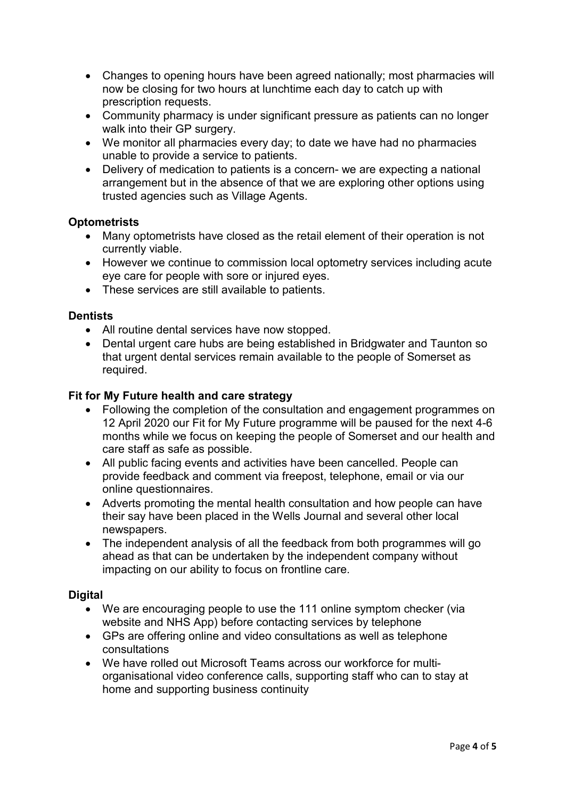- Changes to opening hours have been agreed nationally; most pharmacies will now be closing for two hours at lunchtime each day to catch up with prescription requests.
- Community pharmacy is under significant pressure as patients can no longer walk into their GP surgery.
- We monitor all pharmacies every day; to date we have had no pharmacies unable to provide a service to patients.
- Delivery of medication to patients is a concern- we are expecting a national arrangement but in the absence of that we are exploring other options using trusted agencies such as Village Agents.

## **Optometrists**

- Many optometrists have closed as the retail element of their operation is not currently viable.
- However we continue to commission local optometry services including acute eye care for people with sore or injured eyes.
- These services are still available to patients.

#### **Dentists**

- All routine dental services have now stopped.
- Dental urgent care hubs are being established in Bridgwater and Taunton so that urgent dental services remain available to the people of Somerset as required.

#### **Fit for My Future health and care strategy**

- Following the completion of the consultation and engagement programmes on 12 April 2020 our Fit for My Future programme will be paused for the next 4-6 months while we focus on keeping the people of Somerset and our health and care staff as safe as possible.
- All public facing events and activities have been cancelled. People can provide feedback and comment via freepost, telephone, email or via our online questionnaires.
- Adverts promoting the mental health consultation and how people can have their say have been placed in the Wells Journal and several other local newspapers.
- The independent analysis of all the feedback from both programmes will go ahead as that can be undertaken by the independent company without impacting on our ability to focus on frontline care.

#### **Digital**

- We are encouraging people to use the 111 online symptom checker (via website and NHS App) before contacting services by telephone
- GPs are offering online and video consultations as well as telephone consultations
- We have rolled out Microsoft Teams across our workforce for multiorganisational video conference calls, supporting staff who can to stay at home and supporting business continuity